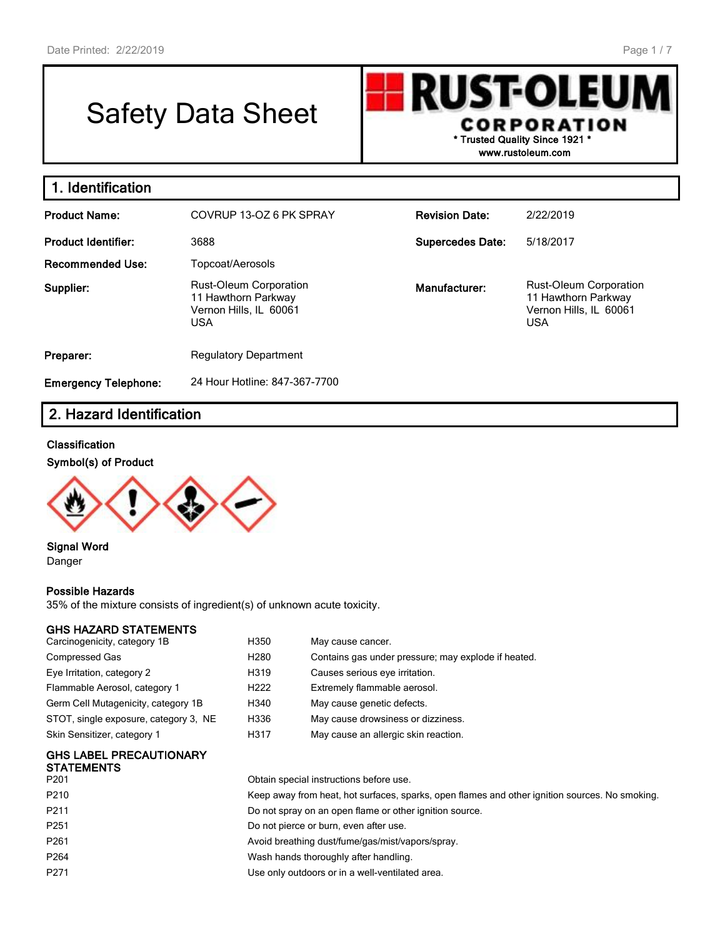# Safety Data Sheet

**RUST-OLEU CORPORATION \* Trusted Quality Since 1921 \***

**www.rustoleum.com**

| 1. Identification           |                                                                                       |                         |                                                                                       |
|-----------------------------|---------------------------------------------------------------------------------------|-------------------------|---------------------------------------------------------------------------------------|
| <b>Product Name:</b>        | COVRUP 13-OZ 6 PK SPRAY                                                               | <b>Revision Date:</b>   | 2/22/2019                                                                             |
| <b>Product Identifier:</b>  | 3688                                                                                  | <b>Supercedes Date:</b> | 5/18/2017                                                                             |
| <b>Recommended Use:</b>     | Topcoat/Aerosols                                                                      |                         |                                                                                       |
| Supplier:                   | Rust-Oleum Corporation<br>11 Hawthorn Parkway<br>Vernon Hills, IL 60061<br><b>USA</b> | Manufacturer:           | Rust-Oleum Corporation<br>11 Hawthorn Parkway<br>Vernon Hills, IL 60061<br><b>USA</b> |
| Preparer:                   | <b>Regulatory Department</b>                                                          |                         |                                                                                       |
| <b>Emergency Telephone:</b> | 24 Hour Hotline: 847-367-7700                                                         |                         |                                                                                       |

## **2. Hazard Identification**

#### **Classification**

#### **Symbol(s) of Product**



**Signal Word** Danger

#### **Possible Hazards**

35% of the mixture consists of ingredient(s) of unknown acute toxicity.

#### **GHS HAZARD STATEMENTS**

| Carcinogenicity, category 1B          | H350             | May cause cancer.                                   |
|---------------------------------------|------------------|-----------------------------------------------------|
| Compressed Gas                        | H <sub>280</sub> | Contains gas under pressure; may explode if heated. |
| Eye Irritation, category 2            | H319             | Causes serious eye irritation.                      |
| Flammable Aerosol, category 1         | H <sub>222</sub> | Extremely flammable aerosol.                        |
| Germ Cell Mutagenicity, category 1B   | H340             | May cause genetic defects.                          |
| STOT, single exposure, category 3, NE | H336             | May cause drowsiness or dizziness.                  |
| Skin Sensitizer, category 1           | H317             | May cause an allergic skin reaction.                |
|                                       |                  |                                                     |

## **GHS LABEL PRECAUTIONARY STATEMENTS**<br>P201

| P201             | Obtain special instructions before use.                                                        |
|------------------|------------------------------------------------------------------------------------------------|
| P210             | Keep away from heat, hot surfaces, sparks, open flames and other ignition sources. No smoking. |
| P211             | Do not spray on an open flame or other ignition source.                                        |
| P251             | Do not pierce or burn, even after use.                                                         |
| P261             | Avoid breathing dust/fume/gas/mist/vapors/spray.                                               |
| P <sub>264</sub> | Wash hands thoroughly after handling.                                                          |
| P271             | Use only outdoors or in a well-ventilated area.                                                |
|                  |                                                                                                |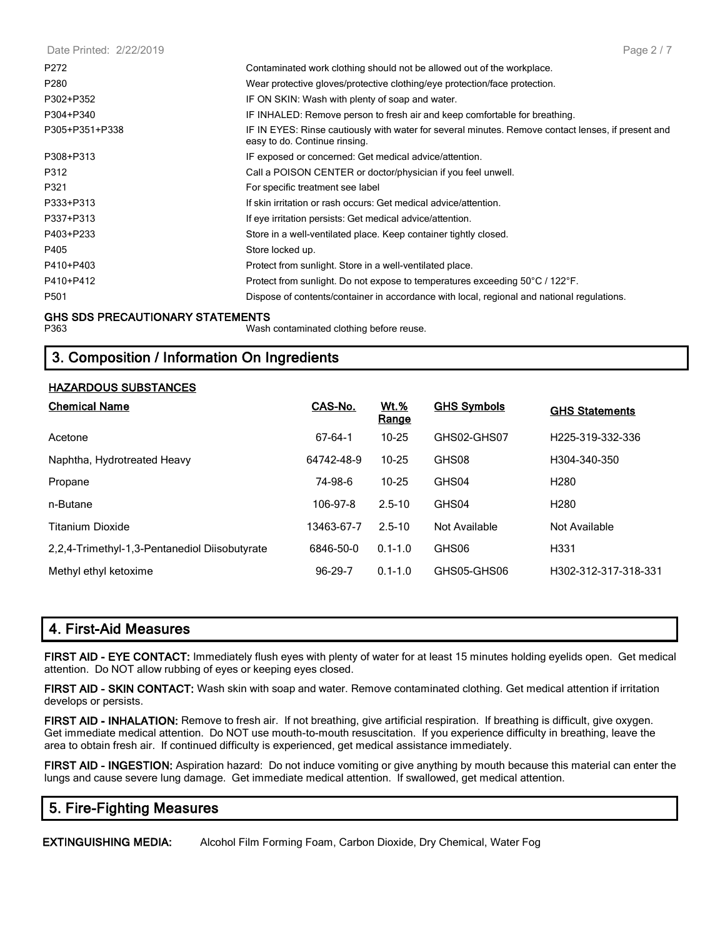| Date Printed: 2/22/2019 | Page 2 / 7                                                                                                                          |
|-------------------------|-------------------------------------------------------------------------------------------------------------------------------------|
| P272                    | Contaminated work clothing should not be allowed out of the workplace.                                                              |
| P280                    | Wear protective gloves/protective clothing/eye protection/face protection.                                                          |
| P302+P352               | IF ON SKIN: Wash with plenty of soap and water.                                                                                     |
| P304+P340               | IF INHALED: Remove person to fresh air and keep comfortable for breathing.                                                          |
| P305+P351+P338          | IF IN EYES: Rinse cautiously with water for several minutes. Remove contact lenses, if present and<br>easy to do. Continue rinsing. |
| P308+P313               | IF exposed or concerned: Get medical advice/attention.                                                                              |
| P312                    | Call a POISON CENTER or doctor/physician if you feel unwell.                                                                        |
| P321                    | For specific treatment see label                                                                                                    |
| P333+P313               | If skin irritation or rash occurs: Get medical advice/attention.                                                                    |
| P337+P313               | If eye irritation persists: Get medical advice/attention.                                                                           |
| P403+P233               | Store in a well-ventilated place. Keep container tightly closed.                                                                    |
| P405                    | Store locked up.                                                                                                                    |
| P410+P403               | Protect from sunlight. Store in a well-ventilated place.                                                                            |
| P410+P412               | Protect from sunlight. Do not expose to temperatures exceeding 50°C / 122°F.                                                        |
| P501                    | Dispose of contents/container in accordance with local, regional and national regulations.                                          |
|                         |                                                                                                                                     |

## **GHS SDS PRECAUTIONARY STATEMENTS**

Wash contaminated clothing before reuse.

## **3. Composition / Information On Ingredients**

#### **HAZARDOUS SUBSTANCES**

| <b>Chemical Name</b>                          | CAS-No.    | <u>Wt.%</u><br>Range | <b>GHS Symbols</b> | <b>GHS Statements</b> |
|-----------------------------------------------|------------|----------------------|--------------------|-----------------------|
| Acetone                                       | 67-64-1    | $10 - 25$            | GHS02-GHS07        | H225-319-332-336      |
| Naphtha, Hydrotreated Heavy                   | 64742-48-9 | $10 - 25$            | GHS08              | H304-340-350          |
| Propane                                       | 74-98-6    | $10 - 25$            | GHS04              | H <sub>280</sub>      |
| n-Butane                                      | 106-97-8   | $2.5 - 10$           | GHS04              | H <sub>280</sub>      |
| Titanium Dioxide                              | 13463-67-7 | $2.5 - 10$           | Not Available      | Not Available         |
| 2.2.4-Trimethyl-1.3-Pentanediol Diisobutyrate | 6846-50-0  | $0.1 - 1.0$          | GHS06              | H <sub>331</sub>      |
| Methyl ethyl ketoxime                         | 96-29-7    | $0.1 - 1.0$          | GHS05-GHS06        | H302-312-317-318-331  |

|  |  | 4. First-Aid Measures |
|--|--|-----------------------|
|--|--|-----------------------|

**FIRST AID - EYE CONTACT:** Immediately flush eyes with plenty of water for at least 15 minutes holding eyelids open. Get medical attention. Do NOT allow rubbing of eyes or keeping eyes closed.

**FIRST AID - SKIN CONTACT:** Wash skin with soap and water. Remove contaminated clothing. Get medical attention if irritation develops or persists.

**FIRST AID - INHALATION:** Remove to fresh air. If not breathing, give artificial respiration. If breathing is difficult, give oxygen. Get immediate medical attention. Do NOT use mouth-to-mouth resuscitation. If you experience difficulty in breathing, leave the area to obtain fresh air. If continued difficulty is experienced, get medical assistance immediately.

**FIRST AID - INGESTION:** Aspiration hazard: Do not induce vomiting or give anything by mouth because this material can enter the lungs and cause severe lung damage. Get immediate medical attention. If swallowed, get medical attention.

## **5. Fire-Fighting Measures**

**EXTINGUISHING MEDIA:** Alcohol Film Forming Foam, Carbon Dioxide, Dry Chemical, Water Fog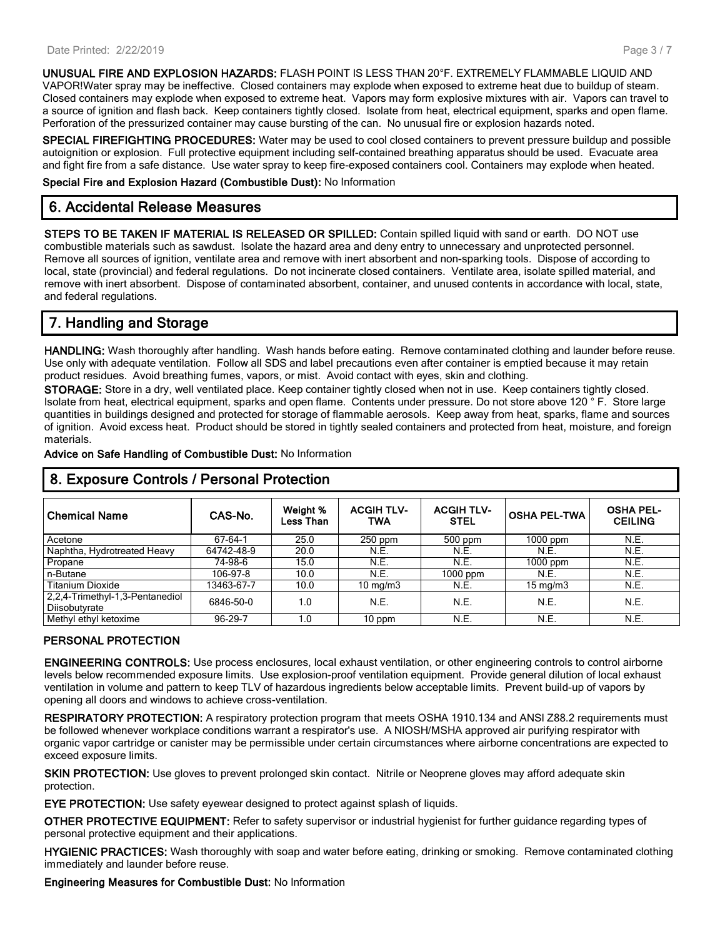**UNUSUAL FIRE AND EXPLOSION HAZARDS:** FLASH POINT IS LESS THAN 20°F. EXTREMELY FLAMMABLE LIQUID AND VAPOR!Water spray may be ineffective. Closed containers may explode when exposed to extreme heat due to buildup of steam. Closed containers may explode when exposed to extreme heat. Vapors may form explosive mixtures with air. Vapors can travel to a source of ignition and flash back. Keep containers tightly closed. Isolate from heat, electrical equipment, sparks and open flame. Perforation of the pressurized container may cause bursting of the can. No unusual fire or explosion hazards noted.

**SPECIAL FIREFIGHTING PROCEDURES:** Water may be used to cool closed containers to prevent pressure buildup and possible autoignition or explosion. Full protective equipment including self-contained breathing apparatus should be used. Evacuate area and fight fire from a safe distance. Use water spray to keep fire-exposed containers cool. Containers may explode when heated.

**Special Fire and Explosion Hazard (Combustible Dust):** No Information

#### **6. Accidental Release Measures**

**STEPS TO BE TAKEN IF MATERIAL IS RELEASED OR SPILLED:** Contain spilled liquid with sand or earth. DO NOT use combustible materials such as sawdust. Isolate the hazard area and deny entry to unnecessary and unprotected personnel. Remove all sources of ignition, ventilate area and remove with inert absorbent and non-sparking tools. Dispose of according to local, state (provincial) and federal regulations. Do not incinerate closed containers. Ventilate area, isolate spilled material, and remove with inert absorbent. Dispose of contaminated absorbent, container, and unused contents in accordance with local, state, and federal regulations.

## **7. Handling and Storage**

**HANDLING:** Wash thoroughly after handling. Wash hands before eating. Remove contaminated clothing and launder before reuse. Use only with adequate ventilation. Follow all SDS and label precautions even after container is emptied because it may retain product residues. Avoid breathing fumes, vapors, or mist. Avoid contact with eyes, skin and clothing.

**STORAGE:** Store in a dry, well ventilated place. Keep container tightly closed when not in use. Keep containers tightly closed. Isolate from heat, electrical equipment, sparks and open flame. Contents under pressure. Do not store above 120 ° F. Store large quantities in buildings designed and protected for storage of flammable aerosols. Keep away from heat, sparks, flame and sources of ignition. Avoid excess heat. Product should be stored in tightly sealed containers and protected from heat, moisture, and foreign materials.

**Advice on Safe Handling of Combustible Dust:** No Information

| <b>Chemical Name</b>                             | CAS-No.    | Weight %<br>Less Than | <b>ACGIH TLV-</b><br>TWA | <b>ACGIH TLV-</b><br><b>STEL</b> | <b>OSHA PEL-TWA</b> | <b>OSHA PEL-</b><br><b>CEILING</b> |
|--------------------------------------------------|------------|-----------------------|--------------------------|----------------------------------|---------------------|------------------------------------|
| Acetone                                          | 67-64-1    | 25.0                  | $250$ ppm                | $500$ ppm                        | $1000$ ppm          | N.E.                               |
| Naphtha, Hydrotreated Heavy                      | 64742-48-9 | 20.0                  | N.E.                     | N.E.                             | N.E.                | N.E.                               |
| Propane                                          | 74-98-6    | 15.0                  | N.E.                     | N.E.                             | $1000$ ppm          | N.E.                               |
| n-Butane                                         | 106-97-8   | 10.0                  | N.E.                     | $1000$ ppm                       | N.E.                | N.E.                               |
| <b>Titanium Dioxide</b>                          | 13463-67-7 | 10.0                  | $10 \text{ mg/m}$        | N.E.                             | $15 \text{ mg/m}$   | N.E.                               |
| 2,2,4-Trimethyl-1,3-Pentanediol<br>Diisobutyrate | 6846-50-0  | 1.0                   | N.E.                     | N.E.                             | N.E.                | N.E.                               |
| Methyl ethyl ketoxime                            | 96-29-7    | 1.0                   | $10$ ppm                 | N.E.                             | N.E.                | N.E.                               |

## **8. Exposure Controls / Personal Protection**

#### **PERSONAL PROTECTION**

**ENGINEERING CONTROLS:** Use process enclosures, local exhaust ventilation, or other engineering controls to control airborne levels below recommended exposure limits. Use explosion-proof ventilation equipment. Provide general dilution of local exhaust ventilation in volume and pattern to keep TLV of hazardous ingredients below acceptable limits. Prevent build-up of vapors by opening all doors and windows to achieve cross-ventilation.

**RESPIRATORY PROTECTION:** A respiratory protection program that meets OSHA 1910.134 and ANSI Z88.2 requirements must be followed whenever workplace conditions warrant a respirator's use. A NIOSH/MSHA approved air purifying respirator with organic vapor cartridge or canister may be permissible under certain circumstances where airborne concentrations are expected to exceed exposure limits.

**SKIN PROTECTION:** Use gloves to prevent prolonged skin contact. Nitrile or Neoprene gloves may afford adequate skin protection.

**EYE PROTECTION:** Use safety eyewear designed to protect against splash of liquids.

**OTHER PROTECTIVE EQUIPMENT:** Refer to safety supervisor or industrial hygienist for further guidance regarding types of personal protective equipment and their applications.

**HYGIENIC PRACTICES:** Wash thoroughly with soap and water before eating, drinking or smoking. Remove contaminated clothing immediately and launder before reuse.

**Engineering Measures for Combustible Dust:** No Information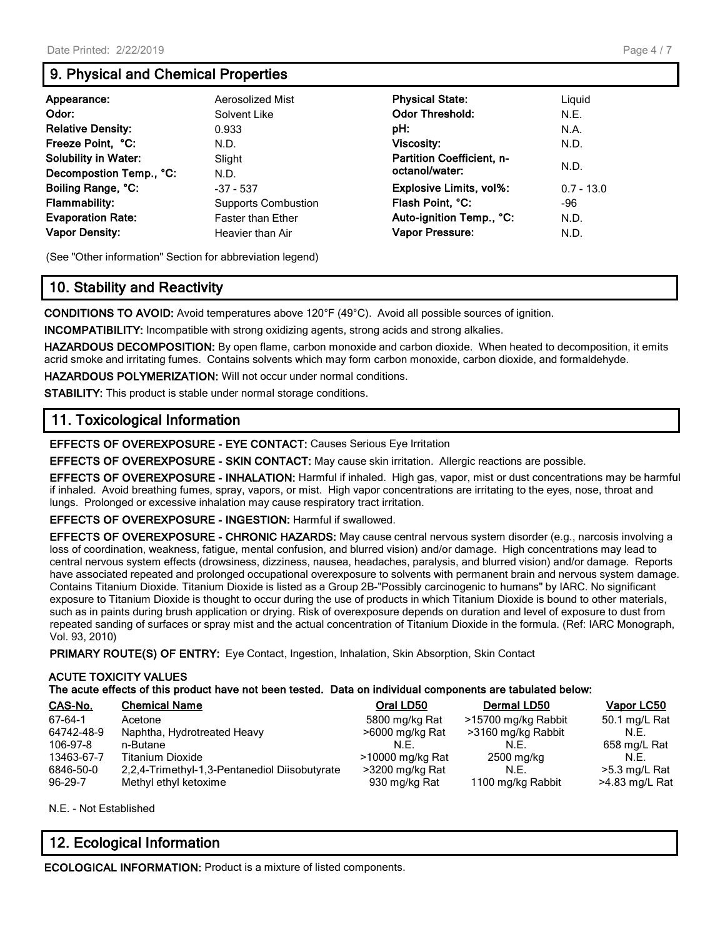## **9. Physical and Chemical Properties**

| Appearance:<br>Odor:<br><b>Relative Density:</b><br>Freeze Point, °C:<br><b>Solubility in Water:</b>                       | Aerosolized Mist<br>Solvent Like<br>0.933<br>N.D.<br>Slight                                       | <b>Physical State:</b><br><b>Odor Threshold:</b><br>pH:<br><b>Viscosity:</b><br><b>Partition Coefficient, n-</b><br>octanol/water: | Liquid<br>N.E.<br>N.A.<br>N.D.<br>N.D. |
|----------------------------------------------------------------------------------------------------------------------------|---------------------------------------------------------------------------------------------------|------------------------------------------------------------------------------------------------------------------------------------|----------------------------------------|
| Decompostion Temp., °C:<br>Boiling Range, °C:<br><b>Flammability:</b><br><b>Evaporation Rate:</b><br><b>Vapor Density:</b> | N.D.<br>$-37 - 537$<br><b>Supports Combustion</b><br><b>Faster than Ether</b><br>Heavier than Air | <b>Explosive Limits, vol%:</b><br>Flash Point, °C:<br>Auto-ignition Temp., °C:<br><b>Vapor Pressure:</b>                           | $0.7 - 13.0$<br>-96<br>N.D.<br>N.D.    |

(See "Other information" Section for abbreviation legend)

## **10. Stability and Reactivity**

**CONDITIONS TO AVOID:** Avoid temperatures above 120°F (49°C). Avoid all possible sources of ignition.

**INCOMPATIBILITY:** Incompatible with strong oxidizing agents, strong acids and strong alkalies.

**HAZARDOUS DECOMPOSITION:** By open flame, carbon monoxide and carbon dioxide. When heated to decomposition, it emits acrid smoke and irritating fumes. Contains solvents which may form carbon monoxide, carbon dioxide, and formaldehyde.

**HAZARDOUS POLYMERIZATION:** Will not occur under normal conditions.

**STABILITY:** This product is stable under normal storage conditions.

## **11. Toxicological Information**

**EFFECTS OF OVEREXPOSURE - EYE CONTACT:** Causes Serious Eye Irritation

**EFFECTS OF OVEREXPOSURE - SKIN CONTACT:** May cause skin irritation. Allergic reactions are possible.

**EFFECTS OF OVEREXPOSURE - INHALATION:** Harmful if inhaled. High gas, vapor, mist or dust concentrations may be harmful if inhaled. Avoid breathing fumes, spray, vapors, or mist. High vapor concentrations are irritating to the eyes, nose, throat and lungs. Prolonged or excessive inhalation may cause respiratory tract irritation.

**EFFECTS OF OVEREXPOSURE - INGESTION:** Harmful if swallowed.

**EFFECTS OF OVEREXPOSURE - CHRONIC HAZARDS:** May cause central nervous system disorder (e.g., narcosis involving a loss of coordination, weakness, fatigue, mental confusion, and blurred vision) and/or damage. High concentrations may lead to central nervous system effects (drowsiness, dizziness, nausea, headaches, paralysis, and blurred vision) and/or damage. Reports have associated repeated and prolonged occupational overexposure to solvents with permanent brain and nervous system damage. Contains Titanium Dioxide. Titanium Dioxide is listed as a Group 2B-"Possibly carcinogenic to humans" by IARC. No significant exposure to Titanium Dioxide is thought to occur during the use of products in which Titanium Dioxide is bound to other materials, such as in paints during brush application or drying. Risk of overexposure depends on duration and level of exposure to dust from repeated sanding of surfaces or spray mist and the actual concentration of Titanium Dioxide in the formula. (Ref: IARC Monograph, Vol. 93, 2010)

**PRIMARY ROUTE(S) OF ENTRY:** Eye Contact, Ingestion, Inhalation, Skin Absorption, Skin Contact

#### **ACUTE TOXICITY VALUES**

**The acute effects of this product have not been tested. Data on individual components are tabulated below:**

| CAS-No.       | <b>Chemical Name</b>                          | Oral LD50        | Dermal LD50         | <b>Vapor LC50</b> |
|---------------|-----------------------------------------------|------------------|---------------------|-------------------|
| 67-64-1       | Acetone                                       | 5800 mg/kg Rat   | >15700 mg/kg Rabbit | 50.1 mg/L Rat     |
| 64742-48-9    | Naphtha, Hydrotreated Heavy                   | >6000 mg/kg Rat  | >3160 mg/kg Rabbit  | N.F.              |
| 106-97-8      | n-Butane                                      | N.F.             | N.F.                | 658 mg/L Rat      |
| 13463-67-7    | <b>Titanium Dioxide</b>                       | >10000 mg/kg Rat | 2500 mg/kg          | N.F.              |
| 6846-50-0     | 2,2,4-Trimethyl-1,3-Pentanediol Diisobutyrate | >3200 mg/kg Rat  | N.E.                | >5.3 mg/L Rat     |
| $96 - 29 - 7$ | Methyl ethyl ketoxime                         | 930 mg/kg Rat    | 1100 mg/kg Rabbit   | >4.83 mg/L Rat    |

N.E. - Not Established

## **12. Ecological Information**

**ECOLOGICAL INFORMATION:** Product is a mixture of listed components.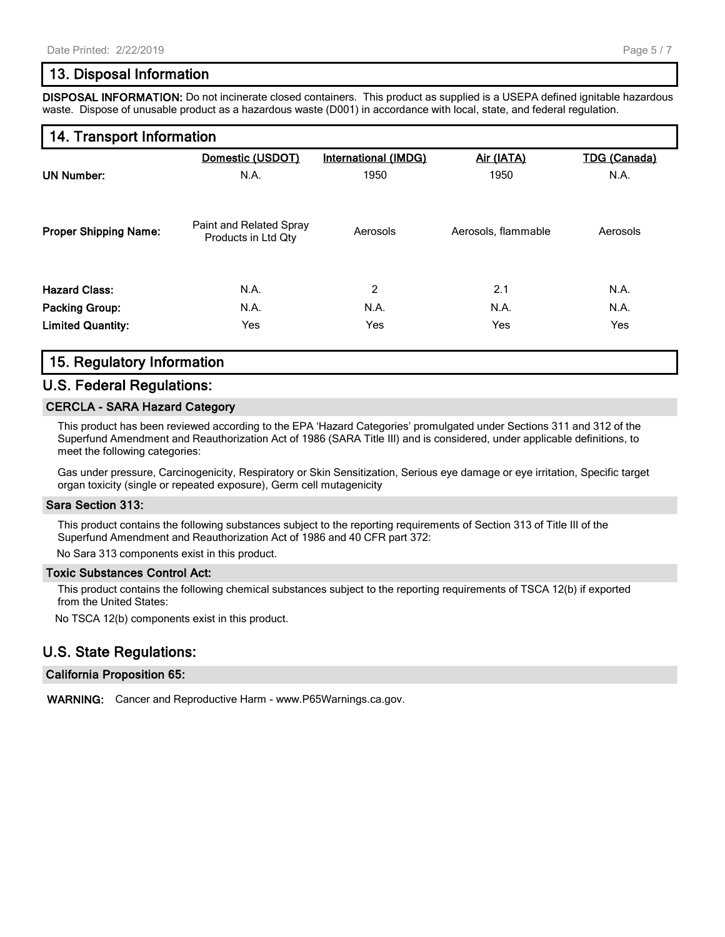### **13. Disposal Information**

**DISPOSAL INFORMATION:** Do not incinerate closed containers. This product as supplied is a USEPA defined ignitable hazardous waste. Dispose of unusable product as a hazardous waste (D001) in accordance with local, state, and federal regulation.

#### **14. Transport Information**

|                              | Domestic (USDOT)                               | <b>International (IMDG)</b> | Air (IATA)          | <b>TDG (Canada)</b> |  |
|------------------------------|------------------------------------------------|-----------------------------|---------------------|---------------------|--|
| <b>UN Number:</b>            | N.A.                                           | 1950                        | 1950                | N.A.                |  |
| <b>Proper Shipping Name:</b> | Paint and Related Spray<br>Products in Ltd Qty | Aerosols                    | Aerosols, flammable | Aerosols            |  |
| <b>Hazard Class:</b>         | N.A.                                           | 2                           | 2.1                 | N.A.                |  |
| <b>Packing Group:</b>        | N.A.                                           | N.A.                        | N.A.                | N.A.                |  |
| <b>Limited Quantity:</b>     | Yes                                            | Yes                         | Yes                 | Yes                 |  |

## **15. Regulatory Information**

#### **U.S. Federal Regulations:**

#### **CERCLA - SARA Hazard Category**

This product has been reviewed according to the EPA 'Hazard Categories' promulgated under Sections 311 and 312 of the Superfund Amendment and Reauthorization Act of 1986 (SARA Title III) and is considered, under applicable definitions, to meet the following categories:

Gas under pressure, Carcinogenicity, Respiratory or Skin Sensitization, Serious eye damage or eye irritation, Specific target organ toxicity (single or repeated exposure), Germ cell mutagenicity

#### **Sara Section 313:**

This product contains the following substances subject to the reporting requirements of Section 313 of Title III of the Superfund Amendment and Reauthorization Act of 1986 and 40 CFR part 372:

No Sara 313 components exist in this product.

#### **Toxic Substances Control Act:**

This product contains the following chemical substances subject to the reporting requirements of TSCA 12(b) if exported from the United States:

No TSCA 12(b) components exist in this product.

#### **U.S. State Regulations:**

#### **California Proposition 65:**

**WARNING:** Cancer and Reproductive Harm - www.P65Warnings.ca.gov.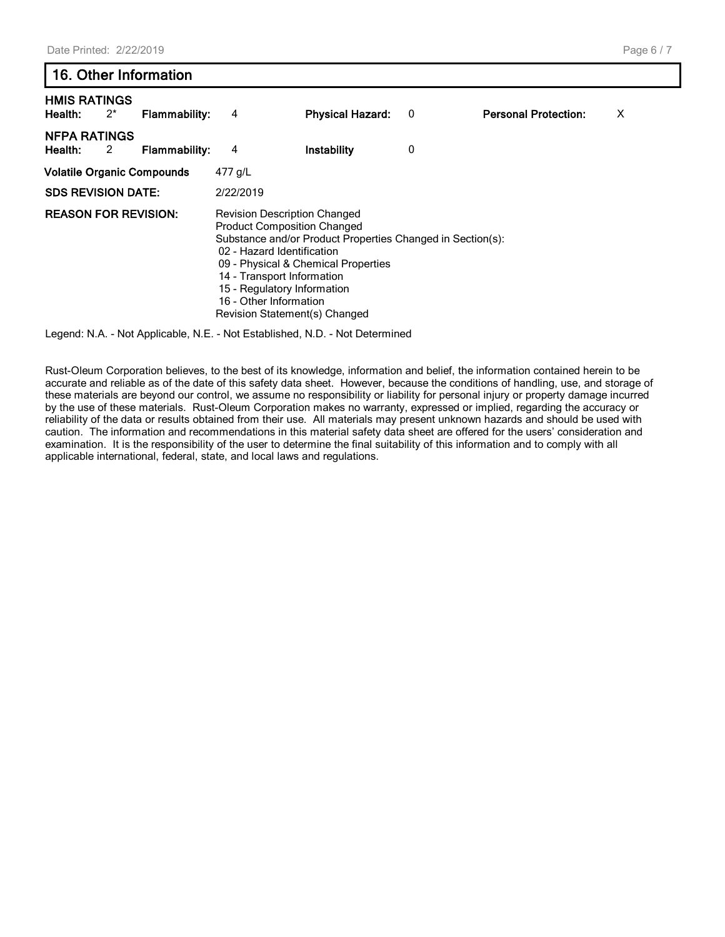## **16. Other Information**

| <b>HMIS RATINGS</b><br>Health:    | $2^*$ | <b>Flammability:</b> | 4                                                                                                                                                                                                                               | <b>Physical Hazard:</b>                                                                           | 0 | <b>Personal Protection:</b> | X |
|-----------------------------------|-------|----------------------|---------------------------------------------------------------------------------------------------------------------------------------------------------------------------------------------------------------------------------|---------------------------------------------------------------------------------------------------|---|-----------------------------|---|
| <b>NFPA RATINGS</b><br>Health:    | 2     | <b>Flammability:</b> | 4                                                                                                                                                                                                                               | Instability                                                                                       | 0 |                             |   |
| <b>Volatile Organic Compounds</b> |       |                      | 477 g/L                                                                                                                                                                                                                         |                                                                                                   |   |                             |   |
| <b>SDS REVISION DATE:</b>         |       |                      | 2/22/2019                                                                                                                                                                                                                       |                                                                                                   |   |                             |   |
| <b>REASON FOR REVISION:</b>       |       |                      | <b>Revision Description Changed</b><br><b>Product Composition Changed</b><br>02 - Hazard Identification<br>14 - Transport Information<br>15 - Regulatory Information<br>16 - Other Information<br>Revision Statement(s) Changed | Substance and/or Product Properties Changed in Section(s):<br>09 - Physical & Chemical Properties |   |                             |   |

Legend: N.A. - Not Applicable, N.E. - Not Established, N.D. - Not Determined

Rust-Oleum Corporation believes, to the best of its knowledge, information and belief, the information contained herein to be accurate and reliable as of the date of this safety data sheet. However, because the conditions of handling, use, and storage of these materials are beyond our control, we assume no responsibility or liability for personal injury or property damage incurred by the use of these materials. Rust-Oleum Corporation makes no warranty, expressed or implied, regarding the accuracy or reliability of the data or results obtained from their use. All materials may present unknown hazards and should be used with caution. The information and recommendations in this material safety data sheet are offered for the users' consideration and examination. It is the responsibility of the user to determine the final suitability of this information and to comply with all applicable international, federal, state, and local laws and regulations.